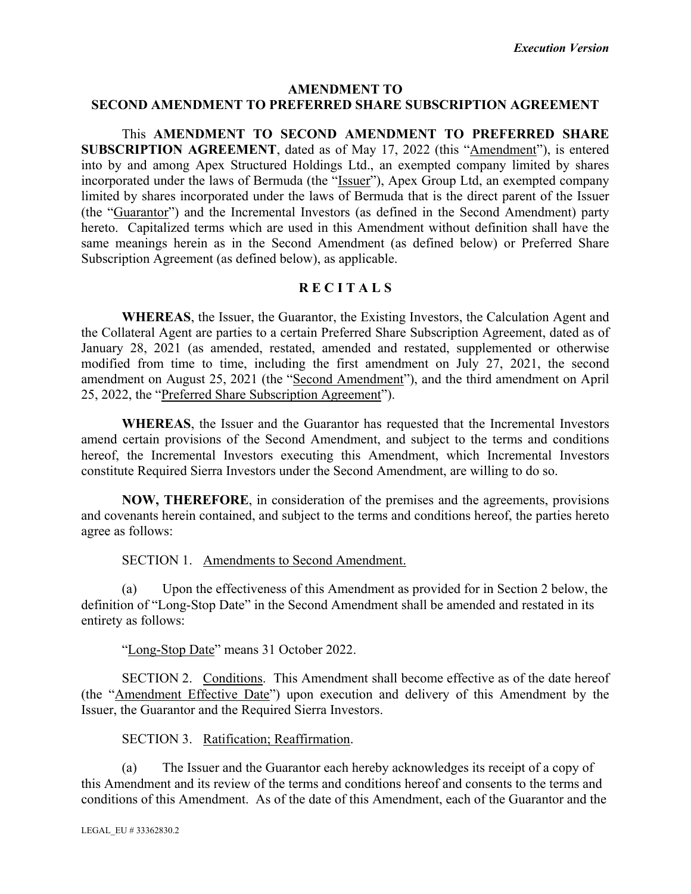### **AMENDMENT TO SECOND AMENDMENT TO PREFERRED SHARE SUBSCRIPTION AGREEMENT**

This **AMENDMENT TO SECOND AMENDMENT TO PREFERRED SHARE SUBSCRIPTION AGREEMENT**, dated as of May 17, 2022 (this "Amendment"), is entered into by and among Apex Structured Holdings Ltd., an exempted company limited by shares incorporated under the laws of Bermuda (the "Issuer"), Apex Group Ltd, an exempted company limited by shares incorporated under the laws of Bermuda that is the direct parent of the Issuer (the "Guarantor") and the Incremental Investors (as defined in the Second Amendment) party hereto. Capitalized terms which are used in this Amendment without definition shall have the same meanings herein as in the Second Amendment (as defined below) or Preferred Share Subscription Agreement (as defined below), as applicable.

# **R E C I T A L S**

**WHEREAS**, the Issuer, the Guarantor, the Existing Investors, the Calculation Agent and the Collateral Agent are parties to a certain Preferred Share Subscription Agreement, dated as of January 28, 2021 (as amended, restated, amended and restated, supplemented or otherwise modified from time to time, including the first amendment on July 27, 2021, the second amendment on August 25, 2021 (the "Second Amendment"), and the third amendment on April 25, 2022, the "Preferred Share Subscription Agreement").

**WHEREAS**, the Issuer and the Guarantor has requested that the Incremental Investors amend certain provisions of the Second Amendment, and subject to the terms and conditions hereof, the Incremental Investors executing this Amendment, which Incremental Investors constitute Required Sierra Investors under the Second Amendment, are willing to do so.

**NOW, THEREFORE**, in consideration of the premises and the agreements, provisions and covenants herein contained, and subject to the terms and conditions hereof, the parties hereto agree as follows:

SECTION 1. Amendments to Second Amendment.

(a) Upon the effectiveness of this Amendment as provided for in Section 2 below, the definition of "Long-Stop Date" in the Second Amendment shall be amended and restated in its entirety as follows:

"Long-Stop Date" means 31 October 2022.

SECTION 2. Conditions. This Amendment shall become effective as of the date hereof (the "Amendment Effective Date") upon execution and delivery of this Amendment by the Issuer, the Guarantor and the Required Sierra Investors.

SECTION 3. Ratification; Reaffirmation.

(a) The Issuer and the Guarantor each hereby acknowledges its receipt of a copy of this Amendment and its review of the terms and conditions hereof and consents to the terms and conditions of this Amendment. As of the date of this Amendment, each of the Guarantor and the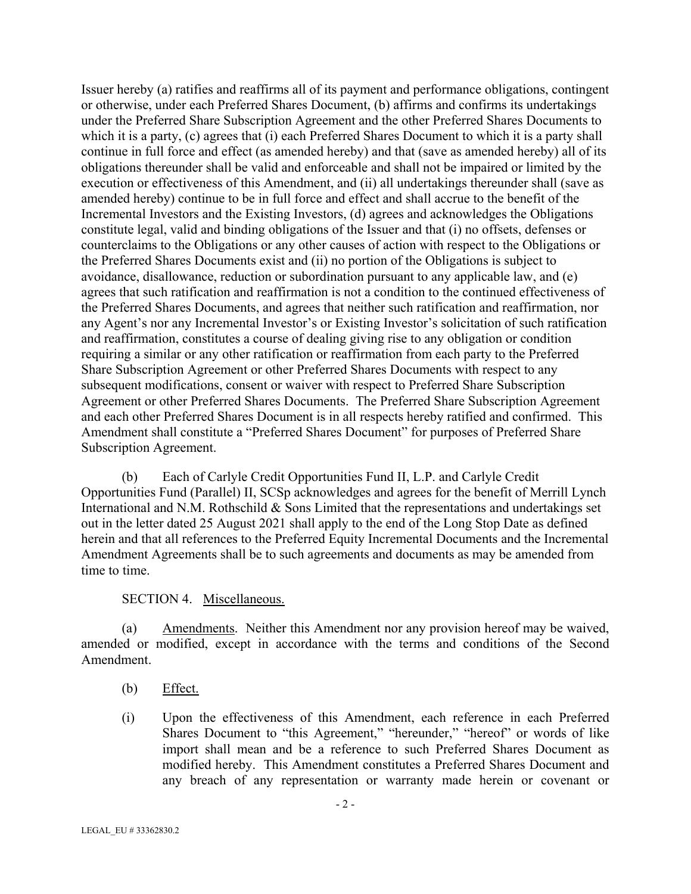Issuer hereby (a) ratifies and reaffirms all of its payment and performance obligations, contingent or otherwise, under each Preferred Shares Document, (b) affirms and confirms its undertakings under the Preferred Share Subscription Agreement and the other Preferred Shares Documents to which it is a party, (c) agrees that (i) each Preferred Shares Document to which it is a party shall continue in full force and effect (as amended hereby) and that (save as amended hereby) all of its obligations thereunder shall be valid and enforceable and shall not be impaired or limited by the execution or effectiveness of this Amendment, and (ii) all undertakings thereunder shall (save as amended hereby) continue to be in full force and effect and shall accrue to the benefit of the Incremental Investors and the Existing Investors, (d) agrees and acknowledges the Obligations constitute legal, valid and binding obligations of the Issuer and that (i) no offsets, defenses or counterclaims to the Obligations or any other causes of action with respect to the Obligations or the Preferred Shares Documents exist and (ii) no portion of the Obligations is subject to avoidance, disallowance, reduction or subordination pursuant to any applicable law, and (e) agrees that such ratification and reaffirmation is not a condition to the continued effectiveness of the Preferred Shares Documents, and agrees that neither such ratification and reaffirmation, nor any Agent's nor any Incremental Investor's or Existing Investor's solicitation of such ratification and reaffirmation, constitutes a course of dealing giving rise to any obligation or condition requiring a similar or any other ratification or reaffirmation from each party to the Preferred Share Subscription Agreement or other Preferred Shares Documents with respect to any subsequent modifications, consent or waiver with respect to Preferred Share Subscription Agreement or other Preferred Shares Documents. The Preferred Share Subscription Agreement and each other Preferred Shares Document is in all respects hereby ratified and confirmed. This Amendment shall constitute a "Preferred Shares Document" for purposes of Preferred Share Subscription Agreement.

(b) Each of Carlyle Credit Opportunities Fund II, L.P. and Carlyle Credit Opportunities Fund (Parallel) II, SCSp acknowledges and agrees for the benefit of Merrill Lynch International and N.M. Rothschild & Sons Limited that the representations and undertakings set out in the letter dated 25 August 2021 shall apply to the end of the Long Stop Date as defined herein and that all references to the Preferred Equity Incremental Documents and the Incremental Amendment Agreements shall be to such agreements and documents as may be amended from time to time.

#### SECTION 4. Miscellaneous.

(a) Amendments. Neither this Amendment nor any provision hereof may be waived, amended or modified, except in accordance with the terms and conditions of the Second Amendment.

- (b) Effect.
- (i) Upon the effectiveness of this Amendment, each reference in each Preferred Shares Document to "this Agreement," "hereunder," "hereof" or words of like import shall mean and be a reference to such Preferred Shares Document as modified hereby. This Amendment constitutes a Preferred Shares Document and any breach of any representation or warranty made herein or covenant or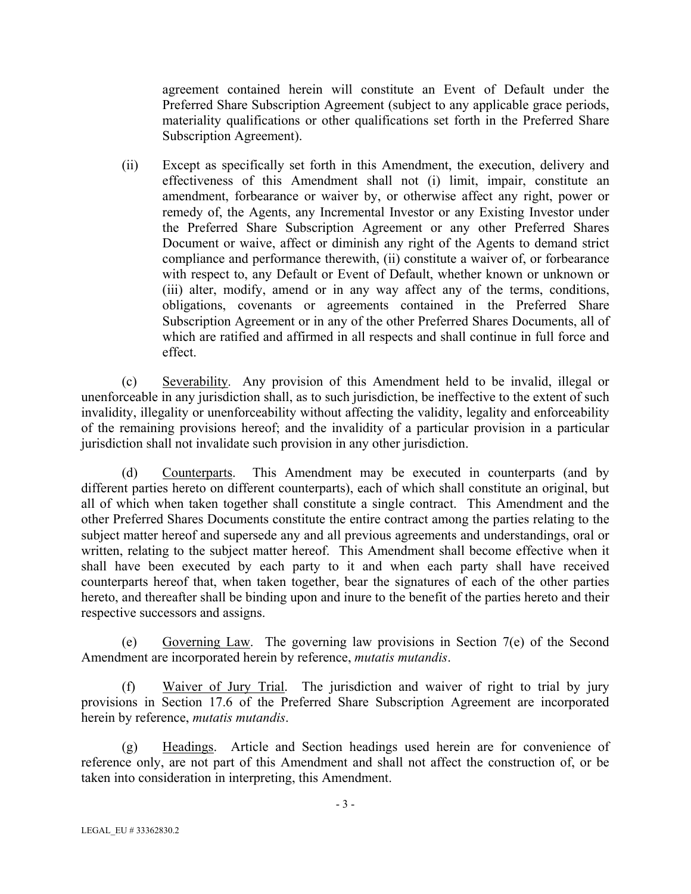agreement contained herein will constitute an Event of Default under the Preferred Share Subscription Agreement (subject to any applicable grace periods, materiality qualifications or other qualifications set forth in the Preferred Share Subscription Agreement).

(ii) Except as specifically set forth in this Amendment, the execution, delivery and effectiveness of this Amendment shall not (i) limit, impair, constitute an amendment, forbearance or waiver by, or otherwise affect any right, power or remedy of, the Agents, any Incremental Investor or any Existing Investor under the Preferred Share Subscription Agreement or any other Preferred Shares Document or waive, affect or diminish any right of the Agents to demand strict compliance and performance therewith, (ii) constitute a waiver of, or forbearance with respect to, any Default or Event of Default, whether known or unknown or (iii) alter, modify, amend or in any way affect any of the terms, conditions, obligations, covenants or agreements contained in the Preferred Share Subscription Agreement or in any of the other Preferred Shares Documents, all of which are ratified and affirmed in all respects and shall continue in full force and effect.

(c) Severability. Any provision of this Amendment held to be invalid, illegal or unenforceable in any jurisdiction shall, as to such jurisdiction, be ineffective to the extent of such invalidity, illegality or unenforceability without affecting the validity, legality and enforceability of the remaining provisions hereof; and the invalidity of a particular provision in a particular jurisdiction shall not invalidate such provision in any other jurisdiction.

(d) Counterparts. This Amendment may be executed in counterparts (and by different parties hereto on different counterparts), each of which shall constitute an original, but all of which when taken together shall constitute a single contract. This Amendment and the other Preferred Shares Documents constitute the entire contract among the parties relating to the subject matter hereof and supersede any and all previous agreements and understandings, oral or written, relating to the subject matter hereof. This Amendment shall become effective when it shall have been executed by each party to it and when each party shall have received counterparts hereof that, when taken together, bear the signatures of each of the other parties hereto, and thereafter shall be binding upon and inure to the benefit of the parties hereto and their respective successors and assigns.

(e) Governing Law. The governing law provisions in Section  $7(e)$  of the Second Amendment are incorporated herein by reference, *mutatis mutandis*.

(f) Waiver of Jury Trial. The jurisdiction and waiver of right to trial by jury provisions in Section 17.6 of the Preferred Share Subscription Agreement are incorporated herein by reference, *mutatis mutandis*.

(g) Headings. Article and Section headings used herein are for convenience of reference only, are not part of this Amendment and shall not affect the construction of, or be taken into consideration in interpreting, this Amendment.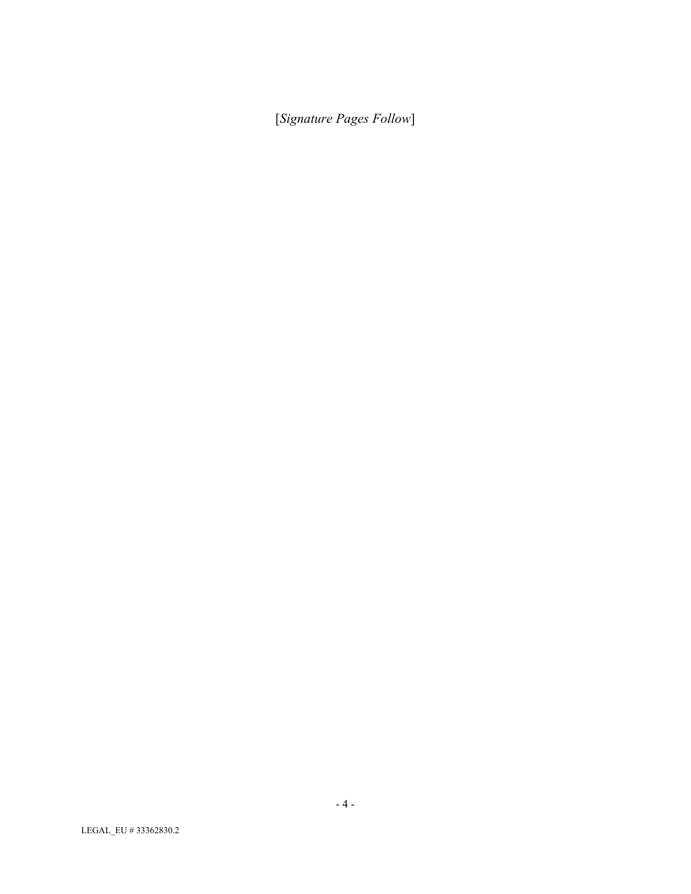[*Signature Pages Follow*]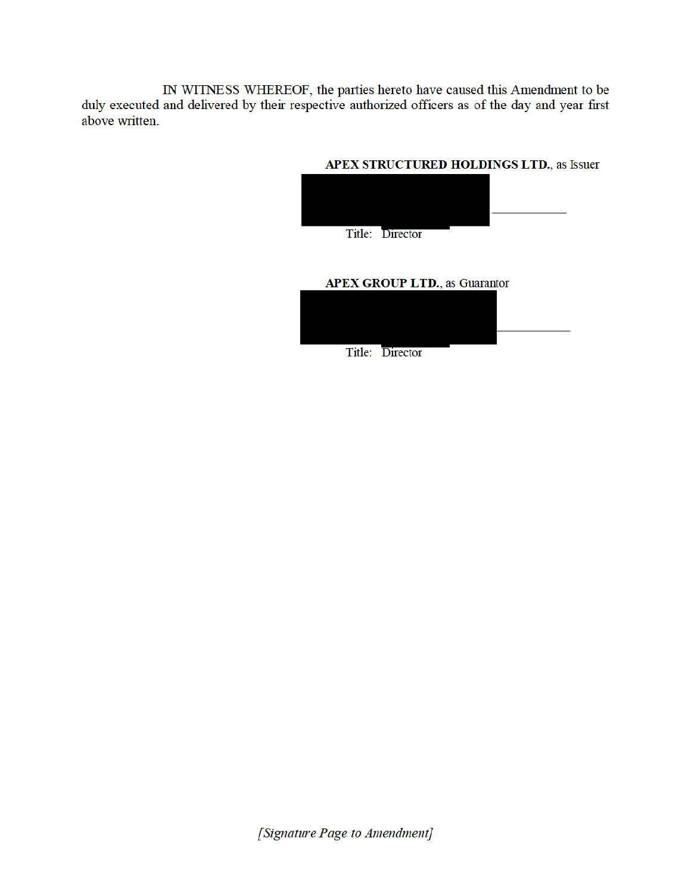IN WITNESS WHEREOF, the parties hereto have caused this Amendment to be duly executed and delivered by their respective authorized officers as of the day and year first above written.

### APEX STRUCTURED HOLDINGS LTD., as Issuer



# **APEX GROUP LTD., as Guarantor**



[Signature Page to Amendment]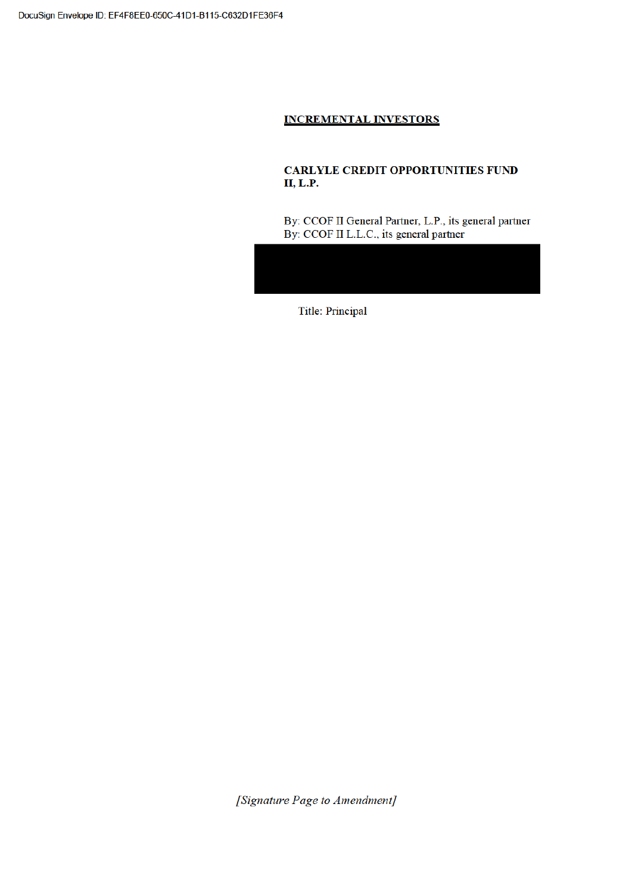# **INCREMENTAL INVESTORS**

### **CARLYLE CREDIT OPPORTUNITIES FUND II, L.P.**

By: CCOF II General Partner, L.P., its general partner By: CCOF II L.L.C., its general partner

**Title: Principal** 

[Signature Page to Amendment]